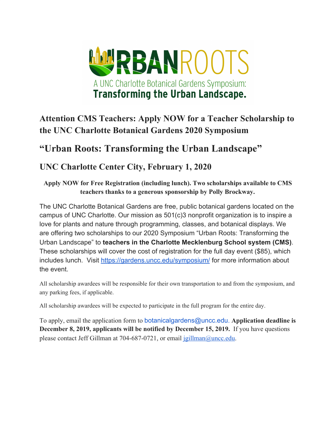

# **Attention CMS Teachers: Apply NOW for a Teacher Scholarship to the UNC Charlotte Botanical Gardens 2020 Symposium**

# **"Urban Roots: Transforming the Urban Landscape"**

### **UNC Charlotte Center City, February 1, 2020**

**Apply NOW for Free Registration (including lunch). Two scholarships available to CMS teachers thanks to a generous sponsorship by Polly Brockway.**

The UNC Charlotte Botanical Gardens are free, public botanical gardens located on the campus of UNC Charlotte. Our mission as 501(c)3 nonprofit organization is to inspire a love for plants and nature through programming, classes, and botanical displays. We are offering two scholarships to our 2020 Symposium "Urban Roots: Transforming the Urban Landscape" to **teachers in the Charlotte Mecklenburg School system (CMS)**. These scholarships will cover the cost of registration for the full day event (\$85), which includes lunch. Visit <https://gardens.uncc.edu/symposium/> for more information about the event.

All scholarship awardees will be responsible for their own transportation to and from the symposium, and any parking fees, if applicable.

All scholarship awardees will be expected to participate in the full program for the entire day.

To apply, email the application form to botanicalgardens@uncc.edu. **Application deadline is December 8, 2019, applicants will be notified by December 15, 2019.** If you have questions please contact Jeff Gillman at 704-687-0721, or email [jgillman@uncc.edu](mailto:jgillman@uncc.edu).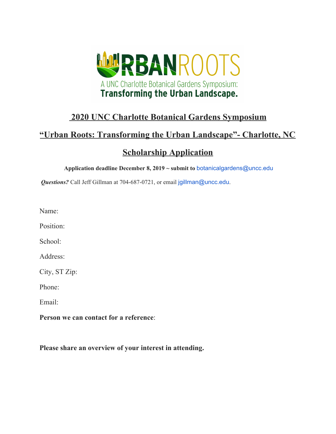

### **2020 UNC Charlotte Botanical Gardens Symposium**

#### **"Urban Roots: Transforming the Urban Landscape"- Charlotte, NC**

### **Scholarship Application**

**Application deadline December 8, 2019 ~ submit to** botanicalgardens@uncc.edu

*Questions?* Call Jeff Gillman at 704-687-0721, or email jgillman@uncc.edu.

Name:

Position:

School:

Address:

City, ST Zip:

Phone:

Email:

**Person we can contact for a reference**:

**Please share an overview of your interest in attending.**